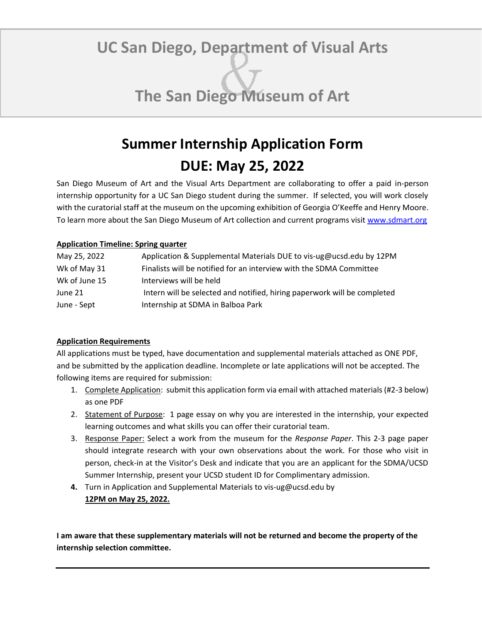## **UC San Diego, Department of Visual Arts**

## **The San Diego Museum of Art**

## **Summer Internship Application Form DUE: May 25, 2022**

San Diego Museum of Art and the Visual Arts Department are collaborating to offer a paid in-person internship opportunity for a UC San Diego student during the summer. If selected, you will work closely with the curatorial staff at the museum on the upcoming exhibition of Georgia O'Keeffe and Henry Moore. To learn more about the San Diego Museum of Art collection and current programs visit [www.sdmart.org](http://www.sdmart.org/)

#### **Application Timeline: Spring quarter**

| May 25, 2022  | Application & Supplemental Materials DUE to vis-ug@ucsd.edu by 12PM      |
|---------------|--------------------------------------------------------------------------|
| Wk of May 31  | Finalists will be notified for an interview with the SDMA Committee      |
| Wk of June 15 | Interviews will be held                                                  |
| June 21       | Intern will be selected and notified, hiring paperwork will be completed |
| June - Sept   | Internship at SDMA in Balboa Park                                        |

#### **Application Requirements**

All applications must be typed, have documentation and supplemental materials attached as ONE PDF, and be submitted by the application deadline. Incomplete or late applications will not be accepted. The following items are required for submission:

- 1. Complete Application: submit this application form via email with attached materials (#2-3 below) as one PDF
- 2. Statement of Purpose: 1 page essay on why you are interested in the internship, your expected learning outcomes and what skills you can offer their curatorial team.
- 3. Response Paper: Select a work from the museum for the *Response Paper*. This 2-3 page paper should integrate research with your own observations about the work. For those who visit in person, check-in at the Visitor's Desk and indicate that you are an applicant for the SDMA/UCSD Summer Internship, present your UCSD student ID for Complimentary admission.
- **4.** Turn in Application and Supplemental Materials to vis-ug@ucsd.edu by **12PM on May 25, 2022.**

**I am aware that these supplementary materials will not be returned and become the property of the internship selection committee.**